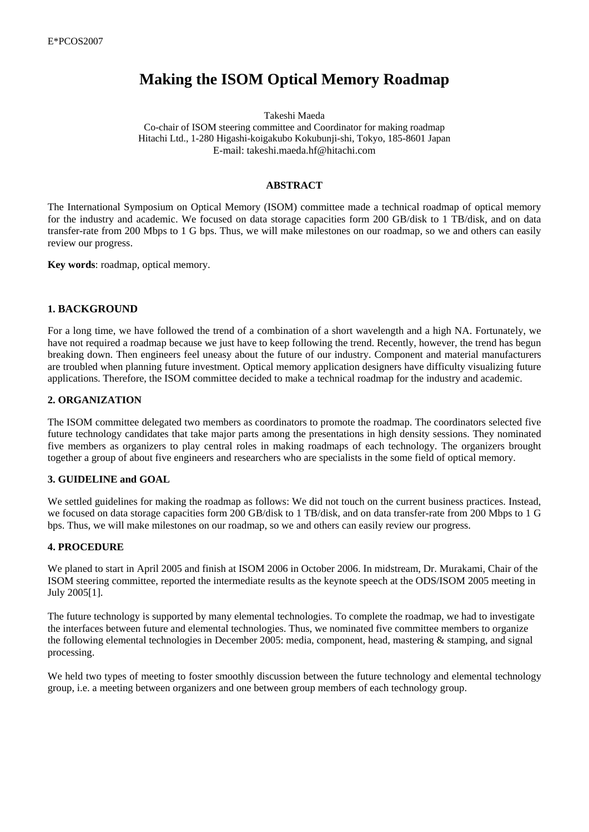# **Making the ISOM Optical Memory Roadmap**

Takeshi Maeda

Co-chair of ISOM steering committee and Coordinator for making roadmap Hitachi Ltd., 1-280 Higashi-koigakubo Kokubunji-shi, Tokyo, 185-8601 Japan E-mail: takeshi.maeda.hf@hitachi.com

#### **ABSTRACT**

The International Symposium on Optical Memory (ISOM) committee made a technical roadmap of optical memory for the industry and academic. We focused on data storage capacities form 200 GB/disk to 1 TB/disk, and on data transfer-rate from 200 Mbps to 1 G bps. Thus, we will make milestones on our roadmap, so we and others can easily review our progress.

**Key words**: roadmap, optical memory.

# **1. BACKGROUND**

For a long time, we have followed the trend of a combination of a short wavelength and a high NA. Fortunately, we have not required a roadmap because we just have to keep following the trend. Recently, however, the trend has begun breaking down. Then engineers feel uneasy about the future of our industry. Component and material manufacturers are troubled when planning future investment. Optical memory application designers have difficulty visualizing future applications. Therefore, the ISOM committee decided to make a technical roadmap for the industry and academic.

#### **2. ORGANIZATION**

The ISOM committee delegated two members as coordinators to promote the roadmap. The coordinators selected five future technology candidates that take major parts among the presentations in high density sessions. They nominated five members as organizers to play central roles in making roadmaps of each technology. The organizers brought together a group of about five engineers and researchers who are specialists in the some field of optical memory.

#### **3. GUIDELINE and GOAL**

We settled guidelines for making the roadmap as follows: We did not touch on the current business practices. Instead, we focused on data storage capacities form 200 GB/disk to 1 TB/disk, and on data transfer-rate from 200 Mbps to 1 G bps. Thus, we will make milestones on our roadmap, so we and others can easily review our progress.

#### **4. PROCEDURE**

We planed to start in April 2005 and finish at ISOM 2006 in October 2006. In midstream, Dr. Murakami, Chair of the ISOM steering committee, reported the intermediate results as the keynote speech at the ODS/ISOM 2005 meeting in July 2005[1].

The future technology is supported by many elemental technologies. To complete the roadmap, we had to investigate the interfaces between future and elemental technologies. Thus, we nominated five committee members to organize the following elemental technologies in December 2005: media, component, head, mastering & stamping, and signal processing.

We held two types of meeting to foster smoothly discussion between the future technology and elemental technology group, i.e. a meeting between organizers and one between group members of each technology group.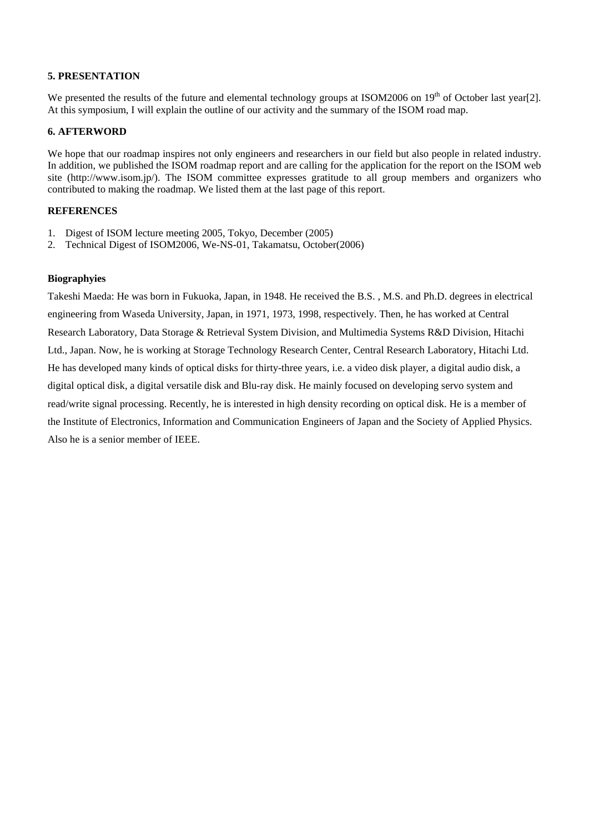# **5. PRESENTATION**

We presented the results of the future and elemental technology groups at ISOM2006 on 19<sup>th</sup> of October last year[2]. At this symposium, I will explain the outline of our activity and the summary of the ISOM road map.

## **6. AFTERWORD**

We hope that our roadmap inspires not only engineers and researchers in our field but also people in related industry. In addition, we published the ISOM roadmap report and are calling for the application for the report on the ISOM web site (http://www.isom.jp/). The ISOM committee expresses gratitude to all group members and organizers who contributed to making the roadmap. We listed them at the last page of this report.

# **REFERENCES**

- 1. Digest of ISOM lecture meeting 2005, Tokyo, December (2005)
- 2. Technical Digest of ISOM2006, We-NS-01, Takamatsu, October(2006)

## **Biographyies**

Takeshi Maeda: He was born in Fukuoka, Japan, in 1948. He received the B.S. , M.S. and Ph.D. degrees in electrical engineering from Waseda University, Japan, in 1971, 1973, 1998, respectively. Then, he has worked at Central Research Laboratory, Data Storage & Retrieval System Division, and Multimedia Systems R&D Division, Hitachi Ltd., Japan. Now, he is working at Storage Technology Research Center, Central Research Laboratory, Hitachi Ltd. He has developed many kinds of optical disks for thirty-three years, i.e. a video disk player, a digital audio disk, a digital optical disk, a digital versatile disk and Blu-ray disk. He mainly focused on developing servo system and read/write signal processing. Recently, he is interested in high density recording on optical disk. He is a member of the Institute of Electronics, Information and Communication Engineers of Japan and the Society of Applied Physics. Also he is a senior member of IEEE.